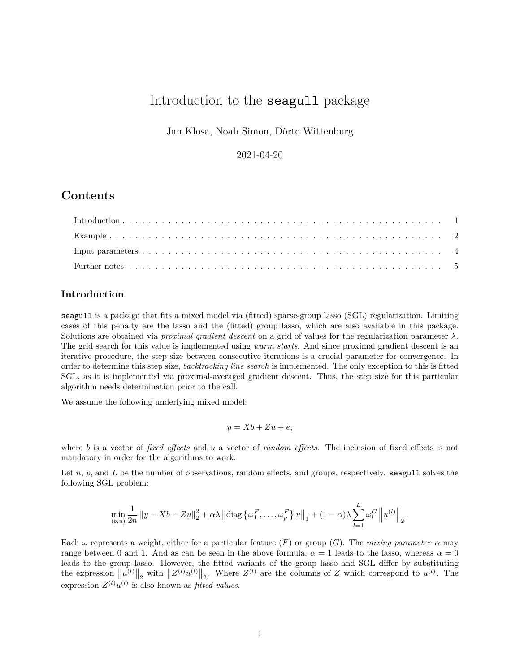# Introduction to the seagull package

Jan Klosa, Noah Simon, Dörte Wittenburg

2021-04-20

## **Contents**

## <span id="page-0-0"></span>**Introduction**

seagull is a package that fits a mixed model via (fitted) sparse-group lasso (SGL) regularization. Limiting cases of this penalty are the lasso and the (fitted) group lasso, which are also available in this package. Solutions are obtained via *proximal gradient descent* on a grid of values for the regularization parameter *λ*. The grid search for this value is implemented using *warm starts*. And since proximal gradient descent is an iterative procedure, the step size between consecutive iterations is a crucial parameter for convergence. In order to determine this step size, *backtracking line search* is implemented. The only exception to this is fitted SGL, as it is implemented via proximal-averaged gradient descent. Thus, the step size for this particular algorithm needs determination prior to the call.

We assume the following underlying mixed model:

$$
y = Xb + Zu + e,
$$

where *b* is a vector of *fixed effects* and *u* a vector of *random effects*. The inclusion of fixed effects is not mandatory in order for the algorithms to work.

Let *n*, *p*, and *L* be the number of observations, random effects, and groups, respectively. seagull solves the following SGL problem:

$$
\min_{(b,u)} \frac{1}{2n} ||y - Xb - Zu||_2^2 + \alpha \lambda ||\text{diag}\left\{\omega_1^F, \ldots, \omega_p^F\right\} u||_1 + (1-\alpha)\lambda \sum_{l=1}^L \omega_l^G ||u^{(l)}||_2.
$$

Each  $\omega$  represents a weight, either for a particular feature (*F*) or group (*G*). The *mixing parameter*  $\alpha$  may range between 0 and 1. And as can be seen in the above formula,  $\alpha = 1$  leads to the lasso, whereas  $\alpha = 0$ leads to the group lasso. However, the fitted variants of the group lasso and SGL differ by substituting the expression  $||u^{(l)}||_2$  with  $||Z^{(l)}u^{(l)}||_2$ . Where  $Z^{(l)}$  are the columns of *Z* which correspond to  $u^{(l)}$ . The expression  $Z^{(l)}u^{(l)}$  is also known as *fitted values*.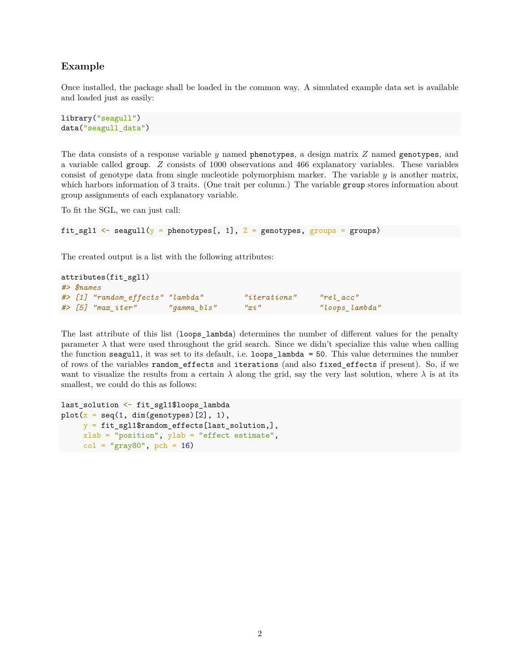### <span id="page-1-0"></span>**Example**

Once installed, the package shall be loaded in the common way. A simulated example data set is available and loaded just as easily:

```
library("seagull")
data("seagull data")
```
The data consists of a response variable *y* named phenotypes, a design matrix *Z* named genotypes, and a variable called group. *Z* consists of 1000 observations and 466 explanatory variables. These variables consist of genotype data from single nucleotide polymorphism marker. The variable *y* is another matrix, which harbors information of 3 traits. (One trait per column.) The variable group stores information about group assignments of each explanatory variable.

To fit the SGL, we can just call:

```
fit_sgl1 \leftarrow seagull(y = phenotypes[, 1], Z = genotypes, groups = groups)
```
The created output is a list with the following attributes:

```
attributes(fit_sgl1)
#> $names
#> [1] "random_effects" "lambda" "iterations" "rel_acc"
#> [5] "max_iter" "gamma_bls" "xi" "loops_lambda"
```
The last attribute of this list (loops\_lambda) determines the number of different values for the penalty parameter  $\lambda$  that were used throughout the grid search. Since we didn't specialize this value when calling the function seagull, it was set to its default, i.e. loops\_lambda = 50. This value determines the number of rows of the variables random\_effects and iterations (and also fixed\_effects if present). So, if we want to visualize the results from a certain  $\lambda$  along the grid, say the very last solution, where  $\lambda$  is at its smallest, we could do this as follows:

```
last_solution <- fit_sgl1$loops_lambda
plot(x = seq(1, dim(genotypes) [2], 1),y = fit sgl1$random_effects[last_solution,],
     xlab = "position", ylab = "effect estimate",
     col = "gray80", \text{ pch} = 16)
```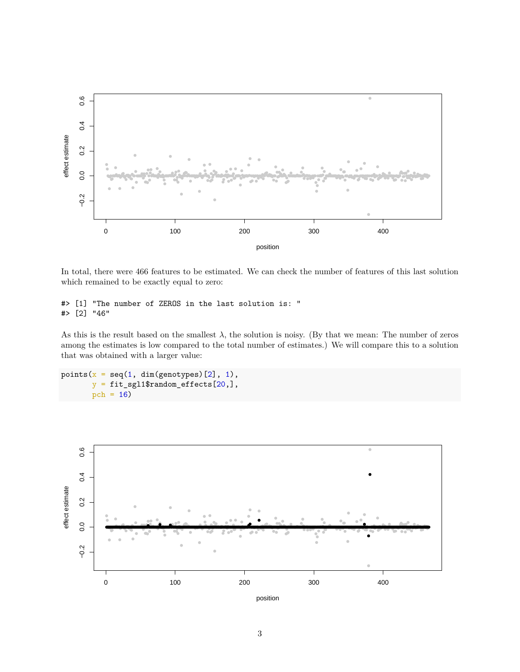

In total, there were 466 features to be estimated. We can check the number of features of this last solution which remained to be exactly equal to zero:

```
#> [1] "The number of ZEROS in the last solution is: "
#> [2] "46"
```
As this is the result based on the smallest  $\lambda$ , the solution is noisy. (By that we mean: The number of zeros among the estimates is low compared to the total number of estimates.) We will compare this to a solution that was obtained with a larger value:

```
points(x = seq(1, dim(genotypes) [2], 1),y = fit_sgl1\$random_effects[20,],pch = 16)
```
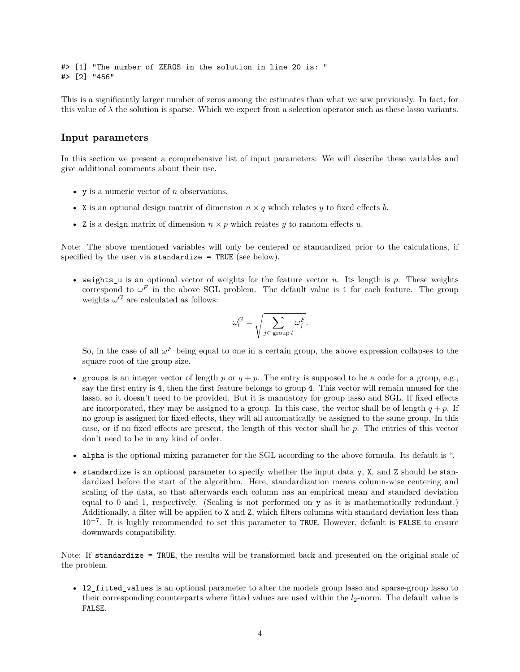#> [1] "The number of ZEROS in the solution in line 20 is: " #> [2] "456"

This is a significantly larger number of zeros among the estimates than what we saw previously. In fact, for this value of  $\lambda$  the solution is sparse. Which we expect from a selection operator such as these lasso variants.

#### <span id="page-3-0"></span>**Input parameters**

In this section we present a comprehensive list of input parameters: We will describe these variables and give additional comments about their use.

- y is a numeric vector of *n* observations.
- X is an optional design matrix of dimension  $n \times q$  which relates  $y$  to fixed effects  $b$ .
- Z is a design matrix of dimension  $n \times p$  which relates *y* to random effects *u*.

Note: The above mentioned variables will only be centered or standardized prior to the calculations, if specified by the user via standardize = TRUE (see below).

• weights\_u is an optional vector of weights for the feature vector *u*. Its length is *p*. These weights correspond to  $\omega^F$  in the above SGL problem. The default value is 1 for each feature. The group weights  $\omega$ <sup>*G*</sup> are calculated as follows:

$$
\omega_l^G = \sqrt{\sum_{j \in \text{ group } l} \omega_j^F}.
$$

So, in the case of all  $\omega^F$  being equal to one in a certain group, the above expression collapses to the square root of the group size.

- groups is an integer vector of length  $p$  or  $q + p$ . The entry is supposed to be a code for a group, e.g., say the first entry is 4, then the first feature belongs to group 4. This vector will remain unused for the lasso, so it doesn't need to be provided. But it is mandatory for group lasso and SGL. If fixed effects are incorporated, they may be assigned to a group. In this case, the vector shall be of length  $q + p$ . If no group is assigned for fixed effects, they will all automatically be assigned to the same group. In this case, or if no fixed effects are present, the length of this vector shall be *p*. The entries of this vector don't need to be in any kind of order.
- alpha is the optional mixing parameter for the SGL according to the above formula. Its default is ".
- standardize is an optional parameter to specify whether the input data y, X, and Z should be standardized before the start of the algorithm. Here, standardization means column-wise centering and scaling of the data, so that afterwards each column has an empirical mean and standard deviation equal to 0 and 1, respectively. (Scaling is not performed on y as it is mathematically redundant.) Additionally, a filter will be applied to X and Z, which filters columns with standard deviation less than 10<sup>-7</sup>. It is highly recommended to set this parameter to TRUE. However, default is FALSE to ensure downwards compatibility.

Note: If standardize = TRUE, the results will be transformed back and presented on the original scale of the problem.

• l2\_fitted\_values is an optional parameter to alter the models group lasso and sparse-group lasso to their corresponding counterparts where fitted values are used within the  $l_2$ -norm. The default value is FALSE.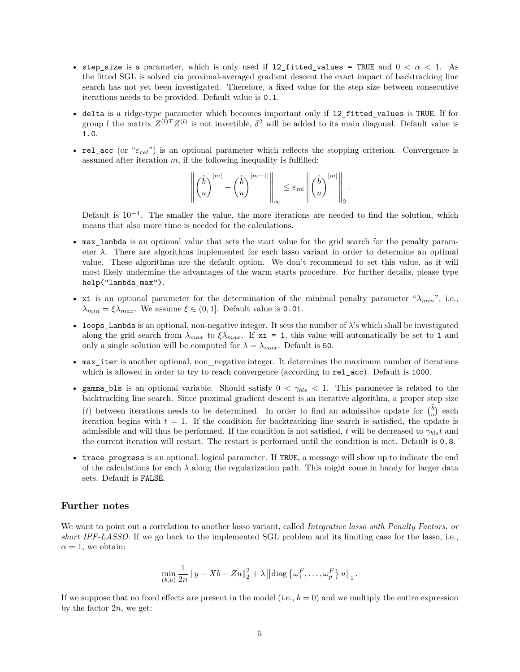- step size is a parameter, which is only used if 12 fitted values = TRUE and  $0 < \alpha < 1$ . As the fitted SGL is solved via proximal-averaged gradient descent the exact impact of backtracking line search has not yet been investigated. Therefore, a fixed value for the step size between consecutive iterations needs to be provided. Default value is 0.1.
- delta is a ridge-type parameter which becomes important only if l2\_fitted\_values is TRUE. If for group *l* the matrix  $Z^{(l)}Z^{(l)}$  is not invertible,  $\delta^2$  will be added to its main diagonal. Default value is 1.0.
- rel\_acc (or "*εrel*") is an optional parameter which reflects the stopping criterion. Convergence is assumed after iteration  $m$ , if the following inequality is fulfilled:

$$
\left\|\begin{pmatrix} \hat{b}\\ u\end{pmatrix}^{[m]} - \begin{pmatrix} \hat{b}\\ u\end{pmatrix}^{[m-1]}\right\|_{\infty} \leq \varepsilon_{\mathrm{rel}}\left\|\begin{pmatrix} \hat{b}\\ u\end{pmatrix}^{[m]}\right\|_{2}.
$$

Default is  $10^{-4}$ . The smaller the value, the more iterations are needed to find the solution, which means that also more time is needed for the calculations.

- max lambda is an optional value that sets the start value for the grid search for the penalty parameter  $\lambda$ . There are algorithms implemented for each lasso variant in order to determine an optimal value. These algorithms are the default option. We don't recommend to set this value, as it will most likely undermine the advantages of the warm starts procedure. For further details, please type help("lambda\_max").
- xi is an optional parameter for the determination of the minimal penalty parameter " $\lambda_{min}$ ", i.e.,  $λ_{min} = ξλ_{max}$ . We assume  $ξ ∈ (0, 1]$ . Default value is 0.01.
- loops\_Lambda is an optional, non-negative integer. It sets the number of  $\lambda$ 's which shall be investigated along the grid search from  $\lambda_{max}$  to  $\xi \lambda_{max}$ . If  $x_i = 1$ , this value will automatically be set to 1 and only a single solution will be computed for  $\lambda = \lambda_{max}$ . Default is 50.
- max\_iter is another optional, non\_negative integer. It determines the maximum number of iterations which is allowed in order to try to reach convergence (according to  $rel_acc$ ). Default is 1000.
- gamma\_bls is an optional variable. Should satisfy  $0 < \gamma_{bls} < 1$ . This parameter is related to the backtracking line search. Since proximal gradient descent is an iterative algorithm, a proper step size (*t*) between iterations needs to be determined. In order to find an admissible update for  $\begin{pmatrix} \hat{b} \\ u \end{pmatrix}$  each iteration begins with  $t = 1$ . If the condition for backtracking line search is satisfied, the update is admissible and will thus be performed. If the condition is not satisfied, *t* will be decreased to  $\gamma_{bls}t$  and the current iteration will restart. The restart is performed until the condition is met. Default is 0.8.
- trace progress is an optional, logical parameter. If TRUE, a message will show up to indicate the end of the calculations for each  $\lambda$  along the regularization path. This might come in handy for larger data sets. Default is FALSE.

#### <span id="page-4-0"></span>**Further notes**

We want to point out a correlation to another lasso variant, called *Integrative lasso with Penalty Factors, or short IPF-LASSO*. If we go back to the implemented SGL problem and its limiting case for the lasso, i.e.,  $\alpha = 1$ , we obtain:

$$
\min_{(b,u)} \frac{1}{2n} ||y - Xb - Zu||_2^2 + \lambda ||diag \left\{ \omega_1^F, \ldots, \omega_p^F \right\} u||_1.
$$

If we suppose that no fixed effects are present in the model (i.e.,  $b = 0$ ) and we multiply the entire expression by the factor 2*n*, we get: